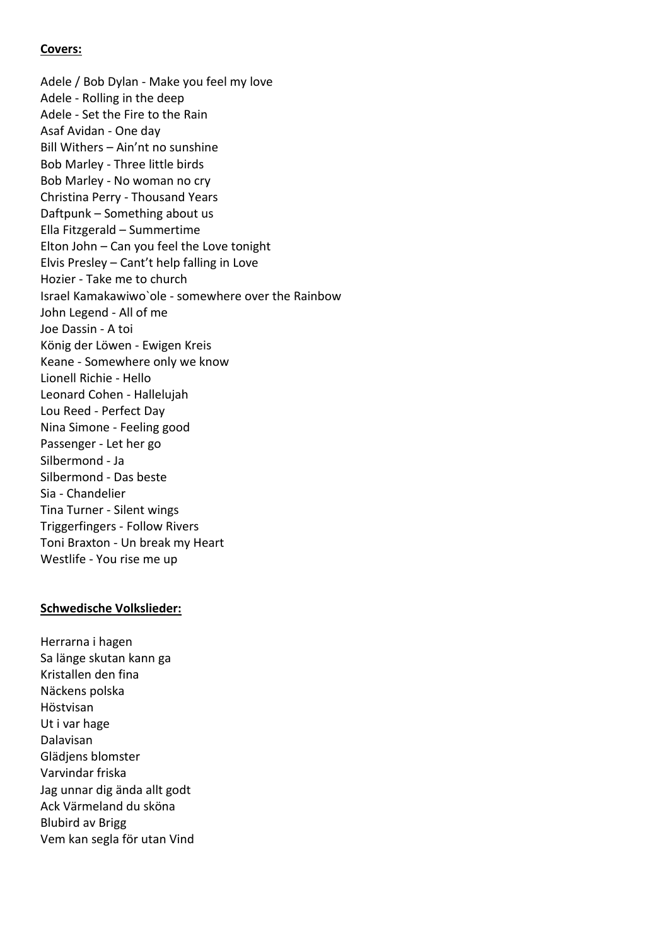## **Covers:**

Adele / Bob Dylan - Make you feel my love Adele - Rolling in the deep Adele - Set the Fire to the Rain Asaf Avidan - One day Bill Withers – Ain'nt no sunshine Bob Marley - Three little birds Bob Marley - No woman no cry Christina Perry - Thousand Years Daftpunk – Something about us Ella Fitzgerald – Summertime Elton John – Can you feel the Love tonight Elvis Presley – Cant't help falling in Love Hozier - Take me to church Israel Kamakawiwo`ole - somewhere over the Rainbow John Legend - All of me Joe Dassin - A toi König der Löwen - Ewigen Kreis Keane - Somewhere only we know Lionell Richie - Hello Leonard Cohen - Hallelujah Lou Reed - Perfect Day Nina Simone - Feeling good Passenger - Let her go Silbermond - Ja Silbermond - Das beste Sia - Chandelier Tina Turner - Silent wings Triggerfingers - Follow Rivers Toni Braxton - Un break my Heart Westlife - You rise me up

## **Schwedische Volkslieder:**

Herrarna i hagen Sa länge skutan kann ga Kristallen den fina Näckens polska Höstvisan Ut i var hage Dalavisan Glädjens blomster Varvindar friska Jag unnar dig ända allt godt Ack Värmeland du sköna Blubird av Brigg Vem kan segla för utan Vind